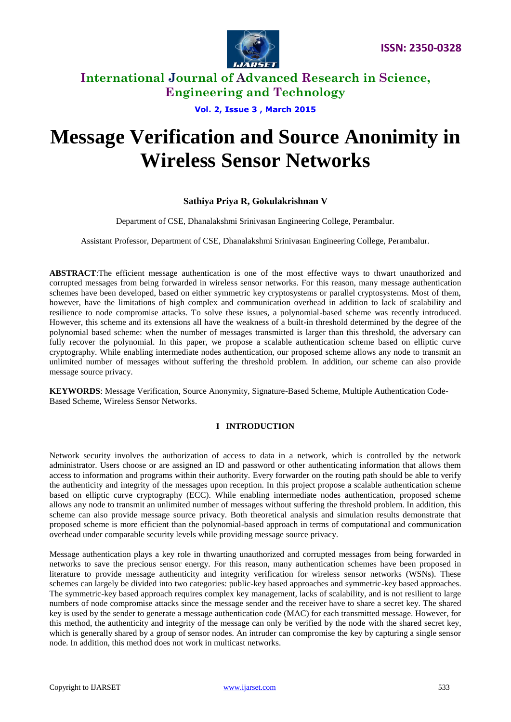

**Vol. 2, Issue 3 , March 2015**

# **Message Verification and Source Anonimity in Wireless Sensor Networks**

# **Sathiya Priya R, Gokulakrishnan V**

Department of CSE, Dhanalakshmi Srinivasan Engineering College, Perambalur.

Assistant Professor, Department of CSE, Dhanalakshmi Srinivasan Engineering College, Perambalur.

**ABSTRACT**:The efficient message authentication is one of the most effective ways to thwart unauthorized and corrupted messages from being forwarded in wireless sensor networks. For this reason, many message authentication schemes have been developed, based on either symmetric key cryptosystems or parallel cryptosystems. Most of them, however, have the limitations of high complex and communication overhead in addition to lack of scalability and resilience to node compromise attacks. To solve these issues, a polynomial-based scheme was recently introduced. However, this scheme and its extensions all have the weakness of a built-in threshold determined by the degree of the polynomial based scheme: when the number of messages transmitted is larger than this threshold, the adversary can fully recover the polynomial. In this paper, we propose a scalable authentication scheme based on elliptic curve cryptography. While enabling intermediate nodes authentication, our proposed scheme allows any node to transmit an unlimited number of messages without suffering the threshold problem. In addition, our scheme can also provide message source privacy.

**KEYWORDS**: Message Verification, Source Anonymity, Signature-Based Scheme, Multiple Authentication Code-Based Scheme, Wireless Sensor Networks.

# **I INTRODUCTION**

Network security involves the authorization of access to data in a network, which is controlled by the network administrator. Users choose or are assigned an ID and password or other authenticating information that allows them access to information and programs within their authority. Every forwarder on the routing path should be able to verify the authenticity and integrity of the messages upon reception. In this project propose a scalable authentication scheme based on elliptic curve cryptography (ECC). While enabling intermediate nodes authentication, proposed scheme allows any node to transmit an unlimited number of messages without suffering the threshold problem. In addition, this scheme can also provide message source privacy. Both theoretical analysis and simulation results demonstrate that proposed scheme is more efficient than the polynomial-based approach in terms of computational and communication overhead under comparable security levels while providing message source privacy.

Message authentication plays a key role in thwarting unauthorized and corrupted messages from being forwarded in networks to save the precious sensor energy. For this reason, many authentication schemes have been proposed in literature to provide message authenticity and integrity verification for wireless sensor networks (WSNs). These schemes can largely be divided into two categories: public-key based approaches and symmetric-key based approaches. The symmetric-key based approach requires complex key management, lacks of scalability, and is not resilient to large numbers of node compromise attacks since the message sender and the receiver have to share a secret key. The shared key is used by the sender to generate a message authentication code (MAC) for each transmitted message. However, for this method, the authenticity and integrity of the message can only be verified by the node with the shared secret key, which is generally shared by a group of sensor nodes. An intruder can compromise the key by capturing a single sensor node. In addition, this method does not work in multicast networks.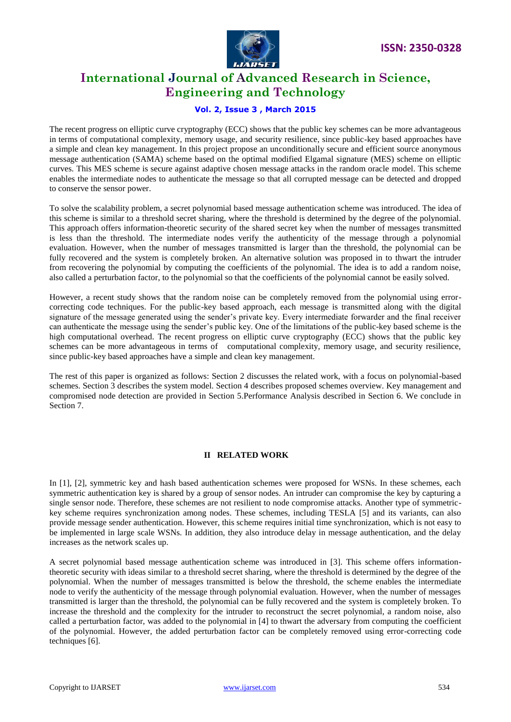

# **Vol. 2, Issue 3 , March 2015**

The recent progress on elliptic curve cryptography (ECC) shows that the public key schemes can be more advantageous in terms of computational complexity, memory usage, and security resilience, since public-key based approaches have a simple and clean key management. In this project propose an unconditionally secure and efficient source anonymous message authentication (SAMA) scheme based on the optimal modified Elgamal signature (MES) scheme on elliptic curves. This MES scheme is secure against adaptive chosen message attacks in the random oracle model. This scheme enables the intermediate nodes to authenticate the message so that all corrupted message can be detected and dropped to conserve the sensor power.

To solve the scalability problem, a secret polynomial based message authentication scheme was introduced. The idea of this scheme is similar to a threshold secret sharing, where the threshold is determined by the degree of the polynomial. This approach offers information-theoretic security of the shared secret key when the number of messages transmitted is less than the threshold. The intermediate nodes verify the authenticity of the message through a polynomial evaluation. However, when the number of messages transmitted is larger than the threshold, the polynomial can be fully recovered and the system is completely broken. An alternative solution was proposed in to thwart the intruder from recovering the polynomial by computing the coefficients of the polynomial. The idea is to add a random noise, also called a perturbation factor, to the polynomial so that the coefficients of the polynomial cannot be easily solved.

However, a recent study shows that the random noise can be completely removed from the polynomial using errorcorrecting code techniques. For the public-key based approach, each message is transmitted along with the digital signature of the message generated using the sender"s private key. Every intermediate forwarder and the final receiver can authenticate the message using the sender"s public key. One of the limitations of the public-key based scheme is the high computational overhead. The recent progress on elliptic curve cryptography (ECC) shows that the public key schemes can be more advantageous in terms of computational complexity, memory usage, and security resilience, since public-key based approaches have a simple and clean key management.

The rest of this paper is organized as follows: Section 2 discusses the related work, with a focus on polynomial-based schemes. Section 3 describes the system model. Section 4 describes proposed schemes overview. Key management and compromised node detection are provided in Section 5.Performance Analysis described in Section 6. We conclude in Section 7.

# **II RELATED WORK**

In [1], [2], symmetric key and hash based authentication schemes were proposed for WSNs. In these schemes, each symmetric authentication key is shared by a group of sensor nodes. An intruder can compromise the key by capturing a single sensor node. Therefore, these schemes are not resilient to node compromise attacks. Another type of symmetrickey scheme requires synchronization among nodes. These schemes, including TESLA [5] and its variants, can also provide message sender authentication. However, this scheme requires initial time synchronization, which is not easy to be implemented in large scale WSNs. In addition, they also introduce delay in message authentication, and the delay increases as the network scales up.

A secret polynomial based message authentication scheme was introduced in [3]. This scheme offers informationtheoretic security with ideas similar to a threshold secret sharing, where the threshold is determined by the degree of the polynomial. When the number of messages transmitted is below the threshold, the scheme enables the intermediate node to verify the authenticity of the message through polynomial evaluation. However, when the number of messages transmitted is larger than the threshold, the polynomial can be fully recovered and the system is completely broken. To increase the threshold and the complexity for the intruder to reconstruct the secret polynomial, a random noise, also called a perturbation factor, was added to the polynomial in [4] to thwart the adversary from computing the coefficient of the polynomial. However, the added perturbation factor can be completely removed using error-correcting code techniques [6].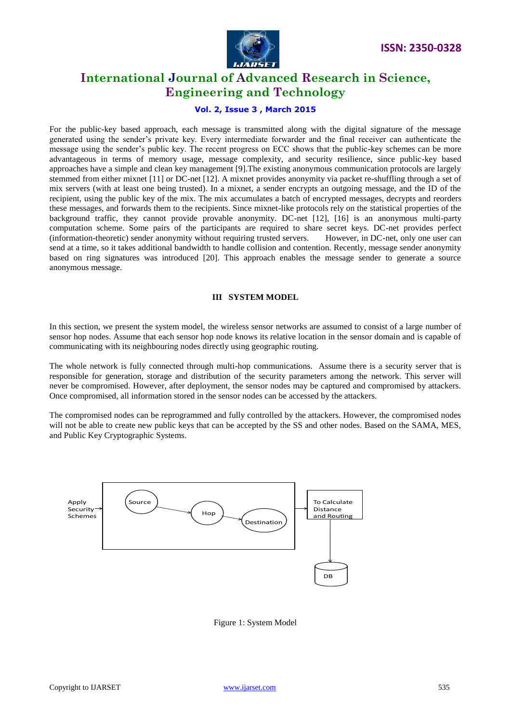

# **Vol. 2, Issue 3 , March 2015**

For the public-key based approach, each message is transmitted along with the digital signature of the message generated using the sender"s private key. Every intermediate forwarder and the final receiver can authenticate the message using the sender"s public key. The recent progress on ECC shows that the public-key schemes can be more advantageous in terms of memory usage, message complexity, and security resilience, since public-key based approaches have a simple and clean key management [9].The existing anonymous communication protocols are largely stemmed from either mixnet [11] or DC-net [12]. A mixnet provides anonymity via packet re-shuffling through a set of mix servers (with at least one being trusted). In a mixnet, a sender encrypts an outgoing message, and the ID of the recipient, using the public key of the mix. The mix accumulates a batch of encrypted messages, decrypts and reorders these messages, and forwards them to the recipients. Since mixnet-like protocols rely on the statistical properties of the background traffic, they cannot provide provable anonymity. DC-net [12], [16] is an anonymous multi-party computation scheme. Some pairs of the participants are required to share secret keys. DC-net provides perfect (information-theoretic) sender anonymity without requiring trusted servers. However, in DC-net, only one user can send at a time, so it takes additional bandwidth to handle collision and contention. Recently, message sender anonymity based on ring signatures was introduced [20]. This approach enables the message sender to generate a source anonymous message.

### **III SYSTEM MODEL**

In this section, we present the system model, the wireless sensor networks are assumed to consist of a large number of sensor hop nodes. Assume that each sensor hop node knows its relative location in the sensor domain and is capable of communicating with its neighbouring nodes directly using geographic routing.

The whole network is fully connected through multi-hop communications. Assume there is a security server that is responsible for generation, storage and distribution of the security parameters among the network. This server will never be compromised. However, after deployment, the sensor nodes may be captured and compromised by attackers. Once compromised, all information stored in the sensor nodes can be accessed by the attackers.

The compromised nodes can be reprogrammed and fully controlled by the attackers. However, the compromised nodes will not be able to create new public keys that can be accepted by the SS and other nodes. Based on the SAMA, MES, and Public Key Cryptographic Systems.



Figure 1: System Model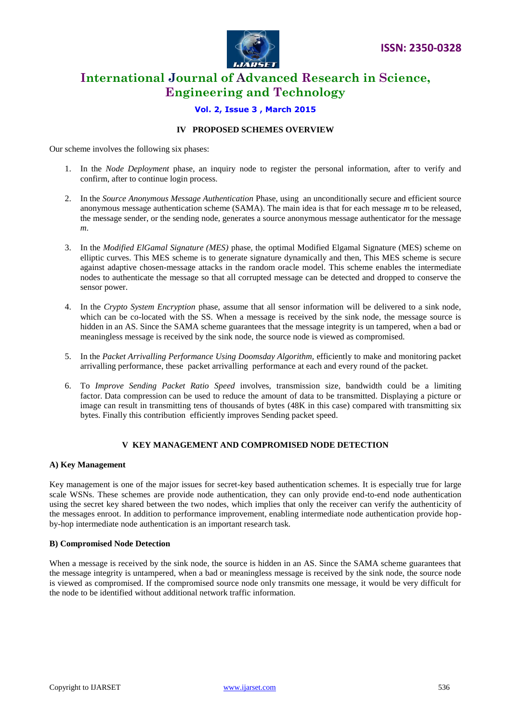

# **Vol. 2, Issue 3 , March 2015**

# **IV PROPOSED SCHEMES OVERVIEW**

Our scheme involves the following six phases:

- 1. In the *Node Deployment* phase, an inquiry node to register the personal information, after to verify and confirm, after to continue login process.
- 2. In the *Source Anonymous Message Authentication* Phase, using an unconditionally secure and efficient source anonymous message authentication scheme (SAMA). The main idea is that for each message *m* to be released, the message sender, or the sending node, generates a source anonymous message authenticator for the message *m*.
- 3. In the *Modified ElGamal Signature (MES)* phase, the optimal Modified Elgamal Signature (MES) scheme on elliptic curves. This MES scheme is to generate signature dynamically and then, This MES scheme is secure against adaptive chosen-message attacks in the random oracle model. This scheme enables the intermediate nodes to authenticate the message so that all corrupted message can be detected and dropped to conserve the sensor power.
- 4. In the *Crypto System Encryption* phase, assume that all sensor information will be delivered to a sink node, which can be co-located with the SS. When a message is received by the sink node, the message source is hidden in an AS. Since the SAMA scheme guarantees that the message integrity is un tampered, when a bad or meaningless message is received by the sink node, the source node is viewed as compromised.
- 5. In the *Packet Arrivalling Performance Using Doomsday Algorithm,* efficiently to make and monitoring packet arrivalling performance, these packet arrivalling performance at each and every round of the packet.
- 6. To *Improve Sending Packet Ratio Speed* involves, transmission size, bandwidth could be a limiting factor. [Data compression](http://en.wikipedia.org/wiki/Data_compression) can be used to reduce the amount of data to be transmitted. Displaying a picture or image can result in transmitting tens of thousands of bytes (48K in this case) compared with transmitting six bytes. Finally this contribution efficiently improves Sending packet speed.

### **V KEY MANAGEMENT AND COMPROMISED NODE DETECTION**

#### **A) Key Management**

Key management is one of the major issues for secret-key based authentication schemes. It is especially true for large scale WSNs. These schemes are provide node authentication, they can only provide end-to-end node authentication using the secret key shared between the two nodes, which implies that only the receiver can verify the authenticity of the messages enroot. In addition to performance improvement, enabling intermediate node authentication provide hopby-hop intermediate node authentication is an important research task.

#### **B) Compromised Node Detection**

When a message is received by the sink node, the source is hidden in an AS. Since the SAMA scheme guarantees that the message integrity is untampered, when a bad or meaningless message is received by the sink node, the source node is viewed as compromised. If the compromised source node only transmits one message, it would be very difficult for the node to be identified without additional network traffic information.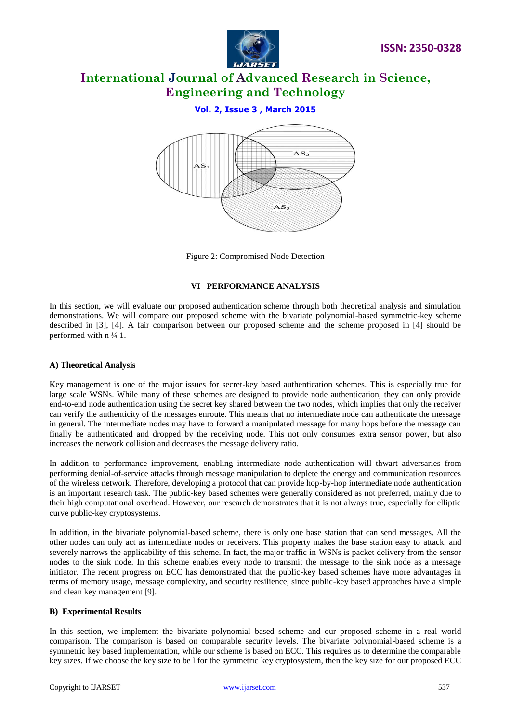

# **Vol. 2, Issue 3 , March 2015**



Figure 2: Compromised Node Detection

# **VI PERFORMANCE ANALYSIS**

In this section, we will evaluate our proposed authentication scheme through both theoretical analysis and simulation demonstrations. We will compare our proposed scheme with the bivariate polynomial-based symmetric-key scheme described in [3], [4]. A fair comparison between our proposed scheme and the scheme proposed in [4] should be performed with  $n \frac{1}{4}$  1.

### **A) Theoretical Analysis**

Key management is one of the major issues for secret-key based authentication schemes. This is especially true for large scale WSNs. While many of these schemes are designed to provide node authentication, they can only provide end-to-end node authentication using the secret key shared between the two nodes, which implies that only the receiver can verify the authenticity of the messages enroute. This means that no intermediate node can authenticate the message in general. The intermediate nodes may have to forward a manipulated message for many hops before the message can finally be authenticated and dropped by the receiving node. This not only consumes extra sensor power, but also increases the network collision and decreases the message delivery ratio.

In addition to performance improvement, enabling intermediate node authentication will thwart adversaries from performing denial-of-service attacks through message manipulation to deplete the energy and communication resources of the wireless network. Therefore, developing a protocol that can provide hop-by-hop intermediate node authentication is an important research task. The public-key based schemes were generally considered as not preferred, mainly due to their high computational overhead. However, our research demonstrates that it is not always true, especially for elliptic curve public-key cryptosystems.

In addition, in the bivariate polynomial-based scheme, there is only one base station that can send messages. All the other nodes can only act as intermediate nodes or receivers. This property makes the base station easy to attack, and severely narrows the applicability of this scheme. In fact, the major traffic in WSNs is packet delivery from the sensor nodes to the sink node. In this scheme enables every node to transmit the message to the sink node as a message initiator. The recent progress on ECC has demonstrated that the public-key based schemes have more advantages in terms of memory usage, message complexity, and security resilience, since public-key based approaches have a simple and clean key management [9].

### **B) Experimental Results**

In this section, we implement the bivariate polynomial based scheme and our proposed scheme in a real world comparison. The comparison is based on comparable security levels. The bivariate polynomial-based scheme is a symmetric key based implementation, while our scheme is based on ECC. This requires us to determine the comparable key sizes. If we choose the key size to be l for the symmetric key cryptosystem, then the key size for our proposed ECC